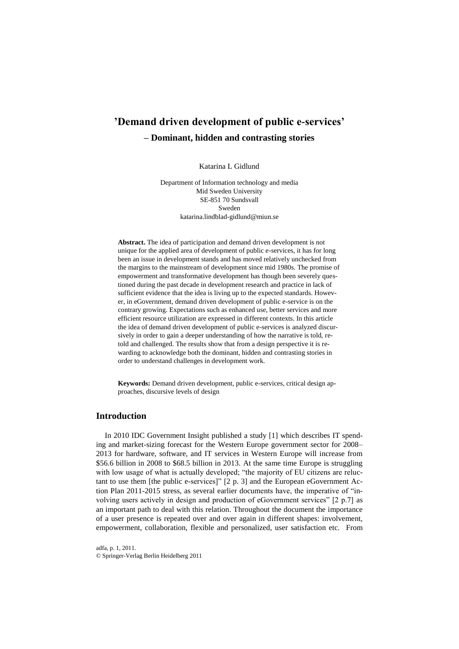# **'Demand driven development of public e-services' – Dominant, hidden and contrasting stories**

Katarina L Gidlund

Department of Information technology and media Mid Sweden University SE-851 70 Sundsvall Sweden katarina.lindblad-gidlund@miun.se

**Abstract.** The idea of participation and demand driven development is not unique for the applied area of development of public e-services, it has for long been an issue in development stands and has moved relatively unchecked from the margins to the mainstream of development since mid 1980s. The promise of empowerment and transformative development has though been severely questioned during the past decade in development research and practice in lack of sufficient evidence that the idea is living up to the expected standards. However, in eGovernment, demand driven development of public e-service is on the contrary growing. Expectations such as enhanced use, better services and more efficient resource utilization are expressed in different contexts. In this article the idea of demand driven development of public e-services is analyzed discursively in order to gain a deeper understanding of how the narrative is told, retold and challenged. The results show that from a design perspective it is rewarding to acknowledge both the dominant, hidden and contrasting stories in order to understand challenges in development work.

**Keywords:** Demand driven development, public e-services, critical design approaches, discursive levels of design

# **Introduction**

In 2010 IDC Government Insight published a study [1] which describes IT spending and market-sizing forecast for the Western Europe government sector for 2008– 2013 for hardware, software, and IT services in Western Europe will increase from \$56.6 billion in 2008 to \$68.5 billion in 2013. At the same time Europe is struggling with low usage of what is actually developed; "the majority of EU citizens are reluctant to use them [the public e-services]" [2 p. 3] and the European eGovernment Action Plan 2011-2015 stress, as several earlier documents have, the imperative of "involving users actively in design and production of eGovernment services" [2 p.7] as an important path to deal with this relation. Throughout the document the importance of a user presence is repeated over and over again in different shapes: involvement, empowerment, collaboration, flexible and personalized, user satisfaction etc. From

adfa, p. 1, 2011. © Springer-Verlag Berlin Heidelberg 2011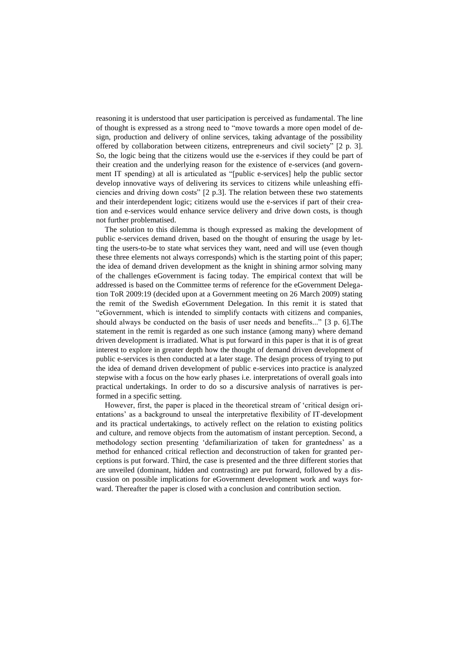reasoning it is understood that user participation is perceived as fundamental. The line of thought is expressed as a strong need to "move towards a more open model of design, production and delivery of online services, taking advantage of the possibility offered by collaboration between citizens, entrepreneurs and civil society" [2 p. 3]. So, the logic being that the citizens would use the e-services if they could be part of their creation and the underlying reason for the existence of e-services (and government IT spending) at all is articulated as "[public e-services] help the public sector develop innovative ways of delivering its services to citizens while unleashing efficiencies and driving down costs" [2 p.3]. The relation between these two statements and their interdependent logic; citizens would use the e-services if part of their creation and e-services would enhance service delivery and drive down costs, is though not further problematised.

The solution to this dilemma is though expressed as making the development of public e-services demand driven, based on the thought of ensuring the usage by letting the users-to-be to state what services they want, need and will use (even though these three elements not always corresponds) which is the starting point of this paper; the idea of demand driven development as the knight in shining armor solving many of the challenges eGovernment is facing today. The empirical context that will be addressed is based on the Committee terms of reference for the eGovernment Delegation ToR 2009:19 (decided upon at a Government meeting on 26 March 2009) stating the remit of the Swedish eGovernment Delegation. In this remit it is stated that "eGovernment, which is intended to simplify contacts with citizens and companies, should always be conducted on the basis of user needs and benefits..." [3 p. 6].The statement in the remit is regarded as one such instance (among many) where demand driven development is irradiated. What is put forward in this paper is that it is of great interest to explore in greater depth how the thought of demand driven development of public e-services is then conducted at a later stage. The design process of trying to put the idea of demand driven development of public e-services into practice is analyzed stepwise with a focus on the how early phases i.e. interpretations of overall goals into practical undertakings. In order to do so a discursive analysis of narratives is performed in a specific setting.

However, first, the paper is placed in the theoretical stream of 'critical design orientations' as a background to unseal the interpretative flexibility of IT-development and its practical undertakings, to actively reflect on the relation to existing politics and culture, and remove objects from the automatism of instant perception. Second, a methodology section presenting 'defamiliarization of taken for grantedness' as a method for enhanced critical reflection and deconstruction of taken for granted perceptions is put forward. Third, the case is presented and the three different stories that are unveiled (dominant, hidden and contrasting) are put forward, followed by a discussion on possible implications for eGovernment development work and ways forward. Thereafter the paper is closed with a conclusion and contribution section.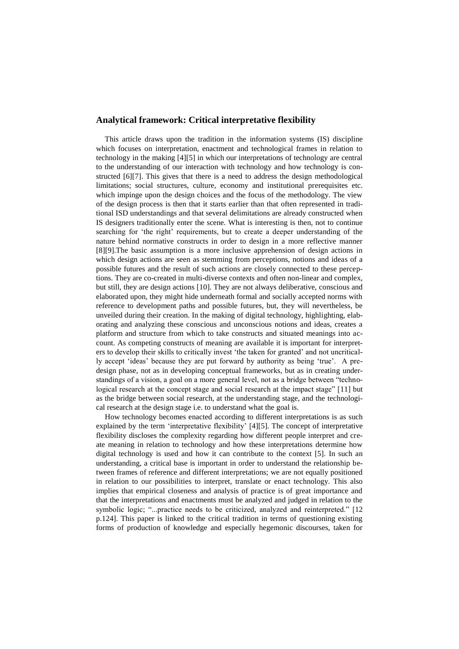## **Analytical framework: Critical interpretative flexibility**

This article draws upon the tradition in the information systems (IS) discipline which focuses on interpretation, enactment and technological frames in relation to technology in the making [4][5] in which our interpretations of technology are central to the understanding of our interaction with technology and how technology is constructed [6][7]. This gives that there is a need to address the design methodological limitations; social structures, culture, economy and institutional prerequisites etc. which impinge upon the design choices and the focus of the methodology. The view of the design process is then that it starts earlier than that often represented in traditional ISD understandings and that several delimitations are already constructed when IS designers traditionally enter the scene. What is interesting is then, not to continue searching for 'the right' requirements, but to create a deeper understanding of the nature behind normative constructs in order to design in a more reflective manner [8][9].The basic assumption is a more inclusive apprehension of design actions in which design actions are seen as stemming from perceptions, notions and ideas of a possible futures and the result of such actions are closely connected to these perceptions. They are co-created in multi-diverse contexts and often non-linear and complex, but still, they are design actions [10]. They are not always deliberative, conscious and elaborated upon, they might hide underneath formal and socially accepted norms with reference to development paths and possible futures, but, they will nevertheless, be unveiled during their creation. In the making of digital technology, highlighting, elaborating and analyzing these conscious and unconscious notions and ideas, creates a platform and structure from which to take constructs and situated meanings into account. As competing constructs of meaning are available it is important for interpreters to develop their skills to critically invest 'the taken for granted' and not uncritically accept 'ideas' because they are put forward by authority as being 'true'. A predesign phase, not as in developing conceptual frameworks, but as in creating understandings of a vision, a goal on a more general level, not as a bridge between "technological research at the concept stage and social research at the impact stage" [11] but as the bridge between social research, at the understanding stage, and the technological research at the design stage i.e. to understand what the goal is.

How technology becomes enacted according to different interpretations is as such explained by the term 'interpretative flexibility' [4][5]. The concept of interpretative flexibility discloses the complexity regarding how different people interpret and create meaning in relation to technology and how these interpretations determine how digital technology is used and how it can contribute to the context [5]. In such an understanding, a critical base is important in order to understand the relationship between frames of reference and different interpretations; we are not equally positioned in relation to our possibilities to interpret, translate or enact technology. This also implies that empirical closeness and analysis of practice is of great importance and that the interpretations and enactments must be analyzed and judged in relation to the symbolic logic; "...practice needs to be criticized, analyzed and reinterpreted." [12 p.124]. This paper is linked to the critical tradition in terms of questioning existing forms of production of knowledge and especially hegemonic discourses, taken for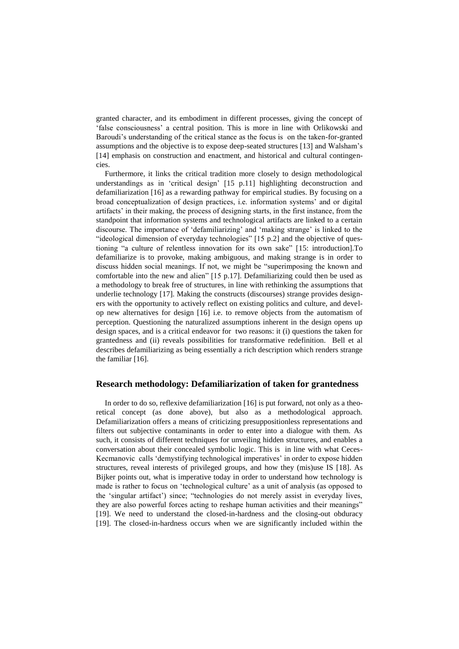granted character, and its embodiment in different processes, giving the concept of 'false consciousness' a central position. This is more in line with Orlikowski and Baroudi's understanding of the critical stance as the focus is on the taken-for-granted assumptions and the objective is to expose deep-seated structures [13] and Walsham's [14] emphasis on construction and enactment, and historical and cultural contingencies.

Furthermore, it links the critical tradition more closely to design methodological understandings as in 'critical design' [15 p.11] highlighting deconstruction and defamiliarization [16] as a rewarding pathway for empirical studies. By focusing on a broad conceptualization of design practices, i.e. information systems' and or digital artifacts' in their making, the process of designing starts, in the first instance, from the standpoint that information systems and technological artifacts are linked to a certain discourse. The importance of 'defamiliarizing' and 'making strange' is linked to the "ideological dimension of everyday technologies" [15 p.2] and the objective of questioning "a culture of relentless innovation for its own sake" [15: introduction].To defamiliarize is to provoke, making ambiguous, and making strange is in order to discuss hidden social meanings. If not, we might be "superimposing the known and comfortable into the new and alien" [15 p.17]. Defamiliarizing could then be used as a methodology to break free of structures, in line with rethinking the assumptions that underlie technology [17]. Making the constructs (discourses) strange provides designers with the opportunity to actively reflect on existing politics and culture, and develop new alternatives for design [16] i.e. to remove objects from the automatism of perception. Questioning the naturalized assumptions inherent in the design opens up design spaces, and is a critical endeavor for two reasons: it (i) questions the taken for grantedness and (ii) reveals possibilities for transformative redefinition. Bell et al describes defamiliarizing as being essentially a rich description which renders strange the familiar [16].

## **Research methodology: Defamiliarization of taken for grantedness**

In order to do so, reflexive defamiliarization [16] is put forward, not only as a theoretical concept (as done above), but also as a methodological approach. Defamiliarization offers a means of criticizing presuppositionless representations and filters out subjective contaminants in order to enter into a dialogue with them. As such, it consists of different techniques for unveiling hidden structures, and enables a conversation about their concealed symbolic logic. This is in line with what Ceces-Kecmanovic calls 'demystifying technological imperatives' in order to expose hidden structures, reveal interests of privileged groups, and how they (mis)use IS [18]. As Bijker points out, what is imperative today in order to understand how technology is made is rather to focus on 'technological culture' as a unit of analysis (as opposed to the 'singular artifact') since; "technologies do not merely assist in everyday lives, they are also powerful forces acting to reshape human activities and their meanings" [19]. We need to understand the closed-in-hardness and the closing-out obduracy [19]. The closed-in-hardness occurs when we are significantly included within the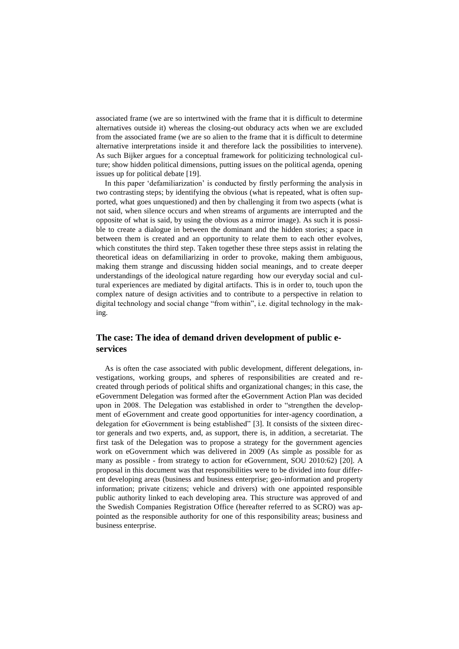associated frame (we are so intertwined with the frame that it is difficult to determine alternatives outside it) whereas the closing-out obduracy acts when we are excluded from the associated frame (we are so alien to the frame that it is difficult to determine alternative interpretations inside it and therefore lack the possibilities to intervene). As such Bijker argues for a conceptual framework for politicizing technological culture; show hidden political dimensions, putting issues on the political agenda, opening issues up for political debate [19].

In this paper 'defamiliarization' is conducted by firstly performing the analysis in two contrasting steps; by identifying the obvious (what is repeated, what is often supported, what goes unquestioned) and then by challenging it from two aspects (what is not said, when silence occurs and when streams of arguments are interrupted and the opposite of what is said, by using the obvious as a mirror image). As such it is possible to create a dialogue in between the dominant and the hidden stories; a space in between them is created and an opportunity to relate them to each other evolves, which constitutes the third step. Taken together these three steps assist in relating the theoretical ideas on defamiliarizing in order to provoke, making them ambiguous, making them strange and discussing hidden social meanings, and to create deeper understandings of the ideological nature regarding how our everyday social and cultural experiences are mediated by digital artifacts. This is in order to, touch upon the complex nature of design activities and to contribute to a perspective in relation to digital technology and social change "from within", i.e. digital technology in the making.

# **The case: The idea of demand driven development of public eservices**

As is often the case associated with public development, different delegations, investigations, working groups, and spheres of responsibilities are created and recreated through periods of political shifts and organizational changes; in this case, the eGovernment Delegation was formed after the eGovernment Action Plan was decided upon in 2008. The Delegation was established in order to "strengthen the development of eGovernment and create good opportunities for inter-agency coordination, a delegation for eGovernment is being established" [3]. It consists of the sixteen director generals and two experts, and, as support, there is, in addition, a secretariat. The first task of the Delegation was to propose a strategy for the government agencies work on eGovernment which was delivered in 2009 (As simple as possible for as many as possible - from strategy to action for eGovernment, SOU 2010:62) [20]. A proposal in this document was that responsibilities were to be divided into four different developing areas (business and business enterprise; geo-information and property information; private citizens; vehicle and drivers) with one appointed responsible public authority linked to each developing area. This structure was approved of and the Swedish Companies Registration Office (hereafter referred to as SCRO) was appointed as the responsible authority for one of this responsibility areas; business and business enterprise.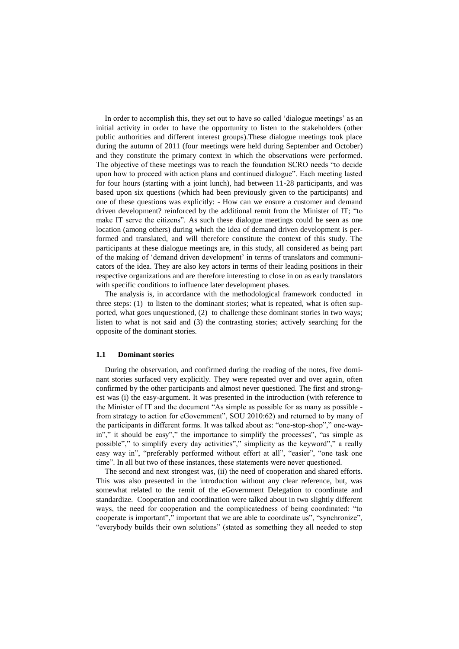In order to accomplish this, they set out to have so called 'dialogue meetings' as an initial activity in order to have the opportunity to listen to the stakeholders (other public authorities and different interest groups).These dialogue meetings took place during the autumn of 2011 (four meetings were held during September and October) and they constitute the primary context in which the observations were performed. The objective of these meetings was to reach the foundation SCRO needs "to decide upon how to proceed with action plans and continued dialogue". Each meeting lasted for four hours (starting with a joint lunch), had between 11-28 participants, and was based upon six questions (which had been previously given to the participants) and one of these questions was explicitly: - How can we ensure a customer and demand driven development? reinforced by the additional remit from the Minister of IT; "to make IT serve the citizens". As such these dialogue meetings could be seen as one location (among others) during which the idea of demand driven development is performed and translated, and will therefore constitute the context of this study. The participants at these dialogue meetings are, in this study, all considered as being part of the making of 'demand driven development' in terms of translators and communicators of the idea. They are also key actors in terms of their leading positions in their respective organizations and are therefore interesting to close in on as early translators with specific conditions to influence later development phases.

The analysis is, in accordance with the methodological framework conducted in three steps: (1) to listen to the dominant stories; what is repeated, what is often supported, what goes unquestioned, (2) to challenge these dominant stories in two ways; listen to what is not said and (3) the contrasting stories; actively searching for the opposite of the dominant stories.

#### **1.1 Dominant stories**

During the observation, and confirmed during the reading of the notes, five dominant stories surfaced very explicitly. They were repeated over and over again, often confirmed by the other participants and almost never questioned. The first and strongest was (i) the easy-argument. It was presented in the introduction (with reference to the Minister of IT and the document "As simple as possible for as many as possible from strategy to action for eGovernment", SOU 2010:62) and returned to by many of the participants in different forms. It was talked about as: "one-stop-shop"," one-wayin"," it should be easy"," the importance to simplify the processes", "as simple as possible"," to simplify every day activities"," simplicity as the keyword"," a really easy way in", "preferably performed without effort at all", "easier", "one task one time". In all but two of these instances, these statements were never questioned.

The second and next strongest was, (ii) the need of cooperation and shared efforts. This was also presented in the introduction without any clear reference, but, was somewhat related to the remit of the eGovernment Delegation to coordinate and standardize. Cooperation and coordination were talked about in two slightly different ways, the need for cooperation and the complicatedness of being coordinated: "to cooperate is important"," important that we are able to coordinate us", "synchronize", "everybody builds their own solutions" (stated as something they all needed to stop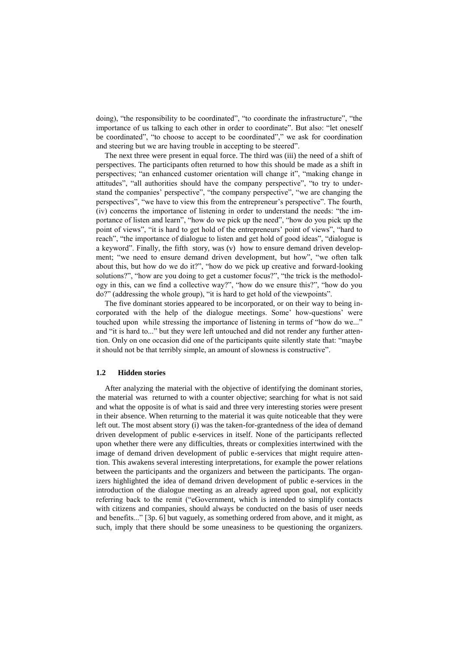doing), "the responsibility to be coordinated", "to coordinate the infrastructure", "the importance of us talking to each other in order to coordinate". But also: "let oneself be coordinated", "to choose to accept to be coordinated"," we ask for coordination and steering but we are having trouble in accepting to be steered".

The next three were present in equal force. The third was (iii) the need of a shift of perspectives. The participants often returned to how this should be made as a shift in perspectives; "an enhanced customer orientation will change it", "making change in attitudes", "all authorities should have the company perspective", "to try to understand the companies' perspective", "the company perspective", "we are changing the perspectives", "we have to view this from the entrepreneur's perspective". The fourth, (iv) concerns the importance of listening in order to understand the needs: "the importance of listen and learn", "how do we pick up the need", "how do you pick up the point of views", "it is hard to get hold of the entrepreneurs' point of views", "hard to reach", "the importance of dialogue to listen and get hold of good ideas", "dialogue is a keyword". Finally, the fifth story, was (v) how to ensure demand driven development; "we need to ensure demand driven development, but how", "we often talk about this, but how do we do it?", "how do we pick up creative and forward-looking solutions?", "how are you doing to get a customer focus?", "the trick is the methodology in this, can we find a collective way?", "how do we ensure this?", "how do you do?" (addressing the whole group), "it is hard to get hold of the viewpoints".

The five dominant stories appeared to be incorporated, or on their way to being incorporated with the help of the dialogue meetings. Some' how-questions' were touched upon while stressing the importance of listening in terms of "how do we..." and "it is hard to..." but they were left untouched and did not render any further attention. Only on one occasion did one of the participants quite silently state that: "maybe it should not be that terribly simple, an amount of slowness is constructive".

#### **1.2 Hidden stories**

After analyzing the material with the objective of identifying the dominant stories, the material was returned to with a counter objective; searching for what is not said and what the opposite is of what is said and three very interesting stories were present in their absence. When returning to the material it was quite noticeable that they were left out. The most absent story (i) was the taken-for-grantedness of the idea of demand driven development of public e-services in itself. None of the participants reflected upon whether there were any difficulties, threats or complexities intertwined with the image of demand driven development of public e-services that might require attention. This awakens several interesting interpretations, for example the power relations between the participants and the organizers and between the participants. The organizers highlighted the idea of demand driven development of public e-services in the introduction of the dialogue meeting as an already agreed upon goal, not explicitly referring back to the remit ("eGovernment, which is intended to simplify contacts with citizens and companies, should always be conducted on the basis of user needs and benefits..." [3p. 6] but vaguely, as something ordered from above, and it might, as such, imply that there should be some uneasiness to be questioning the organizers.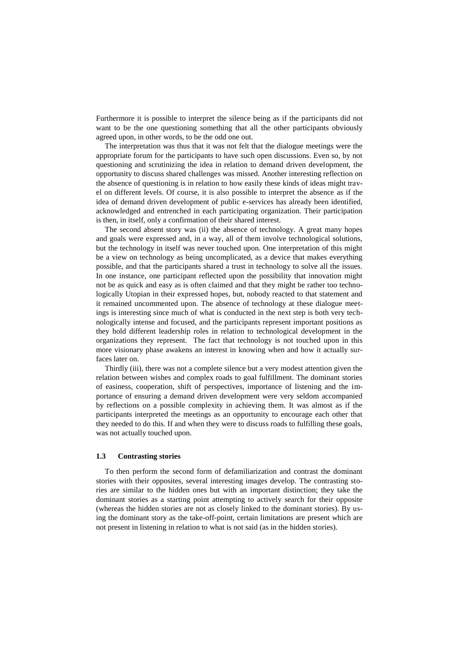Furthermore it is possible to interpret the silence being as if the participants did not want to be the one questioning something that all the other participants obviously agreed upon, in other words, to be the odd one out.

The interpretation was thus that it was not felt that the dialogue meetings were the appropriate forum for the participants to have such open discussions. Even so, by not questioning and scrutinizing the idea in relation to demand driven development, the opportunity to discuss shared challenges was missed. Another interesting reflection on the absence of questioning is in relation to how easily these kinds of ideas might travel on different levels. Of course, it is also possible to interpret the absence as if the idea of demand driven development of public e-services has already been identified, acknowledged and entrenched in each participating organization. Their participation is then, in itself, only a confirmation of their shared interest.

The second absent story was (ii) the absence of technology. A great many hopes and goals were expressed and, in a way, all of them involve technological solutions, but the technology in itself was never touched upon. One interpretation of this might be a view on technology as being uncomplicated, as a device that makes everything possible, and that the participants shared a trust in technology to solve all the issues. In one instance, one participant reflected upon the possibility that innovation might not be as quick and easy as is often claimed and that they might be rather too technologically Utopian in their expressed hopes, but, nobody reacted to that statement and it remained uncommented upon. The absence of technology at these dialogue meetings is interesting since much of what is conducted in the next step is both very technologically intense and focused, and the participants represent important positions as they hold different leadership roles in relation to technological development in the organizations they represent. The fact that technology is not touched upon in this more visionary phase awakens an interest in knowing when and how it actually surfaces later on.

Thirdly (iii), there was not a complete silence but a very modest attention given the relation between wishes and complex roads to goal fulfillment. The dominant stories of easiness, cooperation, shift of perspectives, importance of listening and the importance of ensuring a demand driven development were very seldom accompanied by reflections on a possible complexity in achieving them. It was almost as if the participants interpreted the meetings as an opportunity to encourage each other that they needed to do this. If and when they were to discuss roads to fulfilling these goals, was not actually touched upon.

#### **1.3 Contrasting stories**

To then perform the second form of defamiliarization and contrast the dominant stories with their opposites, several interesting images develop. The contrasting stories are similar to the hidden ones but with an important distinction; they take the dominant stories as a starting point attempting to actively search for their opposite (whereas the hidden stories are not as closely linked to the dominant stories). By using the dominant story as the take-off-point, certain limitations are present which are not present in listening in relation to what is not said (as in the hidden stories).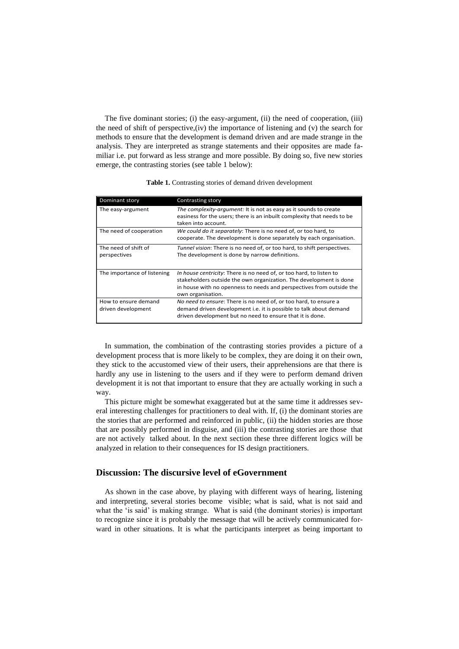The five dominant stories; (i) the easy-argument, (ii) the need of cooperation, (iii) the need of shift of perspective,(iv) the importance of listening and (v) the search for methods to ensure that the development is demand driven and are made strange in the analysis. They are interpreted as strange statements and their opposites are made familiar i.e. put forward as less strange and more possible. By doing so, five new stories emerge, the contrasting stories (see table 1 below):

| Dominant story                             | Contrasting story                                                                                                                                                                                                                      |
|--------------------------------------------|----------------------------------------------------------------------------------------------------------------------------------------------------------------------------------------------------------------------------------------|
| The easy-argument                          | The complexity-argument: It is not as easy as it sounds to create<br>easiness for the users; there is an inbuilt complexity that needs to be<br>taken into account.                                                                    |
| The need of cooperation                    | We could do it separately: There is no need of, or too hard, to<br>cooperate. The development is done separately by each organisation.                                                                                                 |
| The need of shift of<br>perspectives       | Tunnel vision: There is no need of, or too hard, to shift perspectives.<br>The development is done by narrow definitions.                                                                                                              |
| The importance of listening                | In house centricity: There is no need of, or too hard, to listen to<br>stakeholders outside the own organization. The development is done<br>in house with no openness to needs and perspectives from outside the<br>own organisation. |
| How to ensure demand<br>driven development | No need to ensure: There is no need of, or too hard, to ensure a<br>demand driven development i.e. it is possible to talk about demand<br>driven development but no need to ensure that it is done.                                    |

**Table 1.** Contrasting stories of demand driven development

In summation, the combination of the contrasting stories provides a picture of a development process that is more likely to be complex, they are doing it on their own, they stick to the accustomed view of their users, their apprehensions are that there is hardly any use in listening to the users and if they were to perform demand driven development it is not that important to ensure that they are actually working in such a way.

This picture might be somewhat exaggerated but at the same time it addresses several interesting challenges for practitioners to deal with. If, (i) the dominant stories are the stories that are performed and reinforced in public, (ii) the hidden stories are those that are possibly performed in disguise, and (iii) the contrasting stories are those that are not actively talked about. In the next section these three different logics will be analyzed in relation to their consequences for IS design practitioners.

## **Discussion: The discursive level of eGovernment**

As shown in the case above, by playing with different ways of hearing, listening and interpreting, several stories become visible; what is said, what is not said and what the 'is said' is making strange. What is said (the dominant stories) is important to recognize since it is probably the message that will be actively communicated forward in other situations. It is what the participants interpret as being important to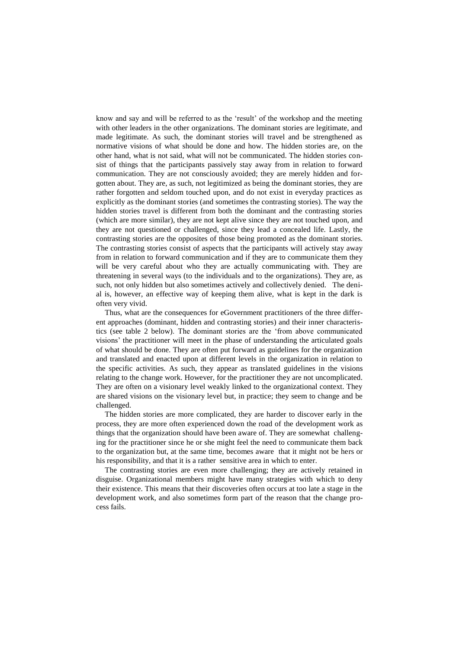know and say and will be referred to as the 'result' of the workshop and the meeting with other leaders in the other organizations. The dominant stories are legitimate, and made legitimate. As such, the dominant stories will travel and be strengthened as normative visions of what should be done and how. The hidden stories are, on the other hand, what is not said, what will not be communicated. The hidden stories consist of things that the participants passively stay away from in relation to forward communication. They are not consciously avoided; they are merely hidden and forgotten about. They are, as such, not legitimized as being the dominant stories, they are rather forgotten and seldom touched upon, and do not exist in everyday practices as explicitly as the dominant stories (and sometimes the contrasting stories). The way the hidden stories travel is different from both the dominant and the contrasting stories (which are more similar), they are not kept alive since they are not touched upon, and they are not questioned or challenged, since they lead a concealed life. Lastly, the contrasting stories are the opposites of those being promoted as the dominant stories. The contrasting stories consist of aspects that the participants will actively stay away from in relation to forward communication and if they are to communicate them they will be very careful about who they are actually communicating with. They are threatening in several ways (to the individuals and to the organizations). They are, as such, not only hidden but also sometimes actively and collectively denied. The denial is, however, an effective way of keeping them alive, what is kept in the dark is often very vivid.

Thus, what are the consequences for eGovernment practitioners of the three different approaches (dominant, hidden and contrasting stories) and their inner characteristics (see table 2 below). The dominant stories are the 'from above communicated visions' the practitioner will meet in the phase of understanding the articulated goals of what should be done. They are often put forward as guidelines for the organization and translated and enacted upon at different levels in the organization in relation to the specific activities. As such, they appear as translated guidelines in the visions relating to the change work. However, for the practitioner they are not uncomplicated. They are often on a visionary level weakly linked to the organizational context. They are shared visions on the visionary level but, in practice; they seem to change and be challenged.

The hidden stories are more complicated, they are harder to discover early in the process, they are more often experienced down the road of the development work as things that the organization should have been aware of. They are somewhat challenging for the practitioner since he or she might feel the need to communicate them back to the organization but, at the same time, becomes aware that it might not be hers or his responsibility, and that it is a rather sensitive area in which to enter.

The contrasting stories are even more challenging; they are actively retained in disguise. Organizational members might have many strategies with which to deny their existence. This means that their discoveries often occurs at too late a stage in the development work, and also sometimes form part of the reason that the change process fails.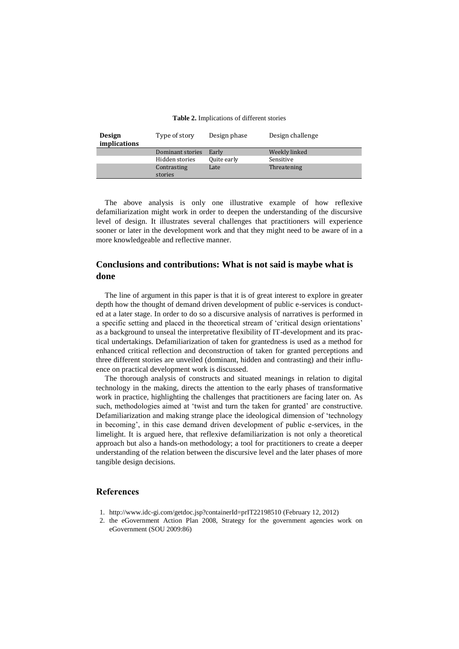|  |  | <b>Table 2.</b> Implications of different stories |  |
|--|--|---------------------------------------------------|--|
|  |  |                                                   |  |

| <b>Design</b><br>implications | Type of story          | Design phase | Design challenge |
|-------------------------------|------------------------|--------------|------------------|
|                               | Dominant stories       | Early        | Weekly linked    |
|                               | Hidden stories         | Quite early  | Sensitive        |
|                               | Contrasting<br>stories | Late         | Threatening      |

The above analysis is only one illustrative example of how reflexive defamiliarization might work in order to deepen the understanding of the discursive level of design. It illustrates several challenges that practitioners will experience sooner or later in the development work and that they might need to be aware of in a more knowledgeable and reflective manner.

# **Conclusions and contributions: What is not said is maybe what is done**

The line of argument in this paper is that it is of great interest to explore in greater depth how the thought of demand driven development of public e-services is conducted at a later stage. In order to do so a discursive analysis of narratives is performed in a specific setting and placed in the theoretical stream of 'critical design orientations' as a background to unseal the interpretative flexibility of IT-development and its practical undertakings. Defamiliarization of taken for grantedness is used as a method for enhanced critical reflection and deconstruction of taken for granted perceptions and three different stories are unveiled (dominant, hidden and contrasting) and their influence on practical development work is discussed.

The thorough analysis of constructs and situated meanings in relation to digital technology in the making, directs the attention to the early phases of transformative work in practice, highlighting the challenges that practitioners are facing later on. As such, methodologies aimed at 'twist and turn the taken for granted' are constructive. Defamiliarization and making strange place the ideological dimension of 'technology in becoming', in this case demand driven development of public e-services, in the limelight. It is argued here, that reflexive defamiliarization is not only a theoretical approach but also a hands-on methodology; a tool for practitioners to create a deeper understanding of the relation between the discursive level and the later phases of more tangible design decisions.

## **References**

- 1. <http://www.idc-gi.com/getdoc.jsp?containerId=prIT22198510> (February 12, 2012)
- 2. the eGovernment Action Plan 2008, Strategy for the government agencies work on eGovernment (SOU 2009:86)